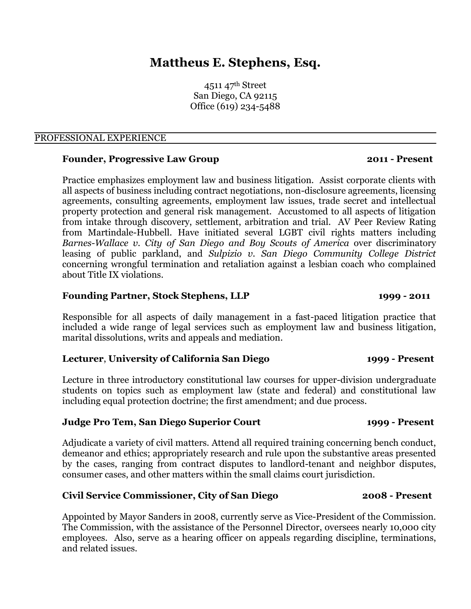# **Mattheus E. Stephens, Esq.**

4511 47th Street San Diego, CA 92115 Office (619) 234-5488

### PROFESSIONAL EXPERIENCE

### **Founder, Progressive Law Group 2011 - Present**

Practice emphasizes employment law and business litigation. Assist corporate clients with all aspects of business including contract negotiations, non-disclosure agreements, licensing agreements, consulting agreements, employment law issues, trade secret and intellectual property protection and general risk management. Accustomed to all aspects of litigation from intake through discovery, settlement, arbitration and trial. AV Peer Review Rating from Martindale-Hubbell. Have initiated several LGBT civil rights matters including *Barnes-Wallace v. City of San Diego and Boy Scouts of America* over discriminatory leasing of public parkland, and *Sulpizio v. San Diego Community College District* concerning wrongful termination and retaliation against a lesbian coach who complained about Title IX violations.

### **Founding Partner, Stock Stephens, LLP 1999 - 2011**

Responsible for all aspects of daily management in a fast-paced litigation practice that included a wide range of legal services such as employment law and business litigation, marital dissolutions, writs and appeals and mediation.

### **Lecturer**, **University of California San Diego 1999 - Present**

Lecture in three introductory constitutional law courses for upper-division undergraduate students on topics such as employment law (state and federal) and constitutional law including equal protection doctrine; the first amendment; and due process.

### **Judge Pro Tem, San Diego Superior Court 1999 - Present**

Adjudicate a variety of civil matters. Attend all required training concerning bench conduct, demeanor and ethics; appropriately research and rule upon the substantive areas presented by the cases, ranging from contract disputes to landlord-tenant and neighbor disputes, consumer cases, and other matters within the small claims court jurisdiction.

### **Civil Service Commissioner, City of San Diego 2008 - Present**

Appointed by Mayor Sanders in 2008, currently serve as Vice-President of the Commission. The Commission, with the assistance of the Personnel Director, oversees nearly 10,000 city employees. Also, serve as a hearing officer on appeals regarding discipline, terminations, and related issues.